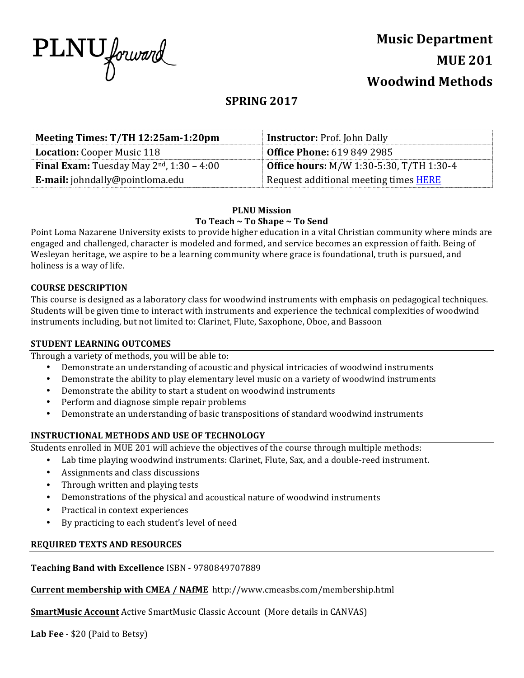

# **SPRING 2017**

| Meeting Times: T/TH 12:25am-1:20pm                 | <b>Instructor: Prof. John Dally</b>             |  |
|----------------------------------------------------|-------------------------------------------------|--|
|                                                    |                                                 |  |
| <b>Location:</b> Cooper Music 118                  | <b>Office Phone: 619 849 2985</b>               |  |
| <b>Final Exam:</b> Tuesday May $2nd$ , 1:30 – 4:00 | <b>Office hours: M/W 1:30-5:30, T/TH 1:30-4</b> |  |
| <b>E-mail:</b> johndally@pointloma.edu             | Request additional meeting times HERE           |  |

# **PLNU Mission** To Teach ~ To Shape ~ To Send

Point Loma Nazarene University exists to provide higher education in a vital Christian community where minds are engaged and challenged, character is modeled and formed, and service becomes an expression of faith. Being of Wesleyan heritage, we aspire to be a learning community where grace is foundational, truth is pursued, and holiness is a way of life.

# **COURSE DESCRIPTION**

This course is designed as a laboratory class for woodwind instruments with emphasis on pedagogical techniques. Students will be given time to interact with instruments and experience the technical complexities of woodwind instruments including, but not limited to: Clarinet, Flute, Saxophone, Oboe, and Bassoon

# **STUDENT LEARNING OUTCOMES**

Through a variety of methods, you will be able to:

- Demonstrate an understanding of acoustic and physical intricacies of woodwind instruments
- Demonstrate the ability to play elementary level music on a variety of woodwind instruments
- Demonstrate the ability to start a student on woodwind instruments
- Perform and diagnose simple repair problems
- Demonstrate an understanding of basic transpositions of standard woodwind instruments

# **INSTRUCTIONAL METHODS AND USE OF TECHNOLOGY**

Students enrolled in MUE 201 will achieve the objectives of the course through multiple methods:

- Lab time playing woodwind instruments: Clarinet, Flute, Sax, and a double-reed instrument.
- Assignments and class discussions
- Through written and playing tests
- Demonstrations of the physical and acoustical nature of woodwind instruments
- Practical in context experiences
- By practicing to each student's level of need

# **REQUIRED TEXTS AND RESOURCES**

**Teaching Band with Excellence** ISBN - 9780849707889

**Current membership with CMEA / NAfME** http://www.cmeasbs.com/membership.html

**SmartMusic Account** Active SmartMusic Classic Account (More details in CANVAS)

**Lab Fee** - \$20 (Paid to Betsy)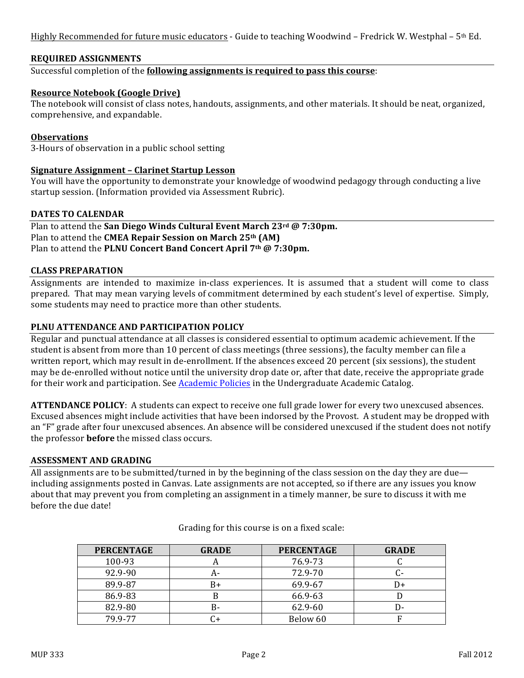Highly Recommended for future music educators - Guide to teaching Woodwind – Fredrick W. Westphal –  $5<sup>th</sup> Ed$ .

# **REQUIRED ASSIGNMENTS**

Successful completion of the **following assignments is required to pass this course**:

## **Resource Notebook (Google Drive)**

The notebook will consist of class notes, handouts, assignments, and other materials. It should be neat, organized, comprehensive, and expandable.

## **Observations**

3-Hours of observation in a public school setting

#### **Signature Assignment – Clarinet Startup Lesson**

You will have the opportunity to demonstrate your knowledge of woodwind pedagogy through conducting a live startup session. (Information provided via Assessment Rubric).

#### **DATES TO CALENDAR**

Plan to attend the San Diego Winds Cultural Event March 23rd @ 7:30pm. Plan to attend the **CMEA Repair Session on March 25th (AM)** Plan to attend the PLNU Concert Band Concert April 7<sup>th</sup> @ 7:30pm.

#### **CLASS PREPARATION**

Assignments are intended to maximize in-class experiences. It is assumed that a student will come to class prepared. That may mean varying levels of commitment determined by each student's level of expertise. Simply, some students may need to practice more than other students.

# **PLNU ATTENDANCE AND PARTICIPATION POLICY**

Regular and punctual attendance at all classes is considered essential to optimum academic achievement. If the student is absent from more than 10 percent of class meetings (three sessions), the faculty member can file a written report, which may result in de-enrollment. If the absences exceed 20 percent (six sessions), the student may be de-enrolled without notice until the university drop date or, after that date, receive the appropriate grade for their work and participation. See Academic Policies in the Undergraduate Academic Catalog.

**ATTENDANCE POLICY**: A students can expect to receive one full grade lower for every two unexcused absences. Excused absences might include activities that have been indorsed by the Provost. A student may be dropped with an "F" grade after four unexcused absences. An absence will be considered unexcused if the student does not notify the professor **before** the missed class occurs.

#### **ASSESSMENT AND GRADING**

All assignments are to be submitted/turned in by the beginning of the class session on the day they are due including assignments posted in Canvas. Late assignments are not accepted, so if there are any issues you know about that may prevent you from completing an assignment in a timely manner, be sure to discuss it with me before the due date!

| <b>PERCENTAGE</b> | <b>GRADE</b> | <b>PERCENTAGE</b> | <b>GRADE</b> |
|-------------------|--------------|-------------------|--------------|
| 100-93            |              | 76.9-73           |              |
| 92.9-90           |              | 72.9-70           |              |
| 89.9-87           | B+           | 69.9-67           |              |
| 86.9-83           |              | 66.9-63           |              |
| 82.9-80           | B-           | 62.9-60           | - 1 -        |
| 79.9-77           |              | Below 60          |              |

Grading for this course is on a fixed scale: